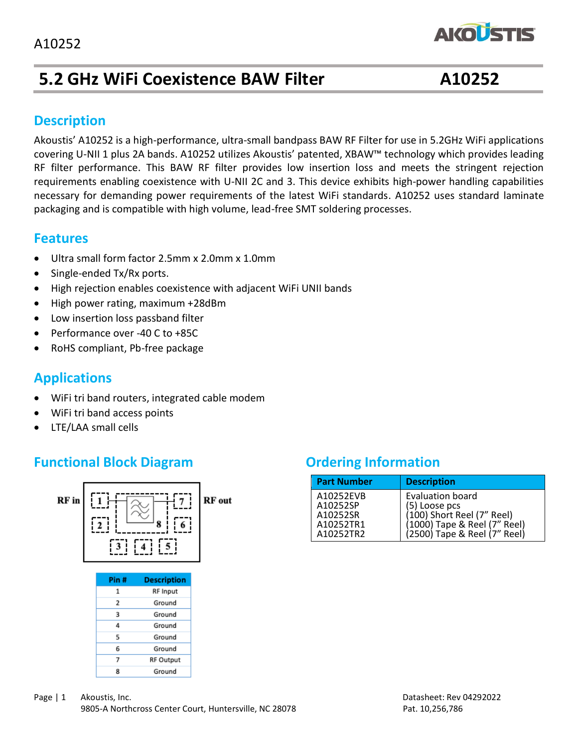

# **5.2 GHz WiFi Coexistence BAW Filter A10252**

### **Description**

Akoustis' A10252 is a high-performance, ultra-small bandpass BAW RF Filter for use in 5.2GHz WiFi applications covering U-NII 1 plus 2A bands. A10252 utilizes Akoustis' patented, XBAW™ technology which provides leading RF filter performance. This BAW RF filter provides low insertion loss and meets the stringent rejection requirements enabling coexistence with U-NII 2C and 3. This device exhibits high-power handling capabilities necessary for demanding power requirements of the latest WiFi standards. A10252 uses standard laminate packaging and is compatible with high volume, lead-free SMT soldering processes.

### **Features**

- Ultra small form factor 2.5mm x 2.0mm x 1.0mm
- Single-ended Tx/Rx ports.
- High rejection enables coexistence with adjacent WiFi UNII bands
- High power rating, maximum +28dBm
- Low insertion loss passband filter
- Performance over -40 C to +85C
- RoHS compliant, Pb-free package

### **Applications**

- WiFi tri band routers, integrated cable modem
- WiFi tri band access points
- LTE/LAA small cells

## **Functional Block Diagram Diagram Ordering Information**

5

6

 $\overline{7}$ 

8



| <b>Part Number</b>                                          | <b>Description</b>                                                                                                                     |
|-------------------------------------------------------------|----------------------------------------------------------------------------------------------------------------------------------------|
| A10252EVB<br>A10252SP<br>A10252SR<br>A10252TR1<br>A10252TR2 | <b>Evaluation board</b><br>(5) Loose pcs<br>(100) Short Reel (7" Reel)<br>(1000) Tape & Reel (7" Reel)<br>(2500) Tape & Reel (7" Reel) |

Ground

Ground

**RF Output** 

Ground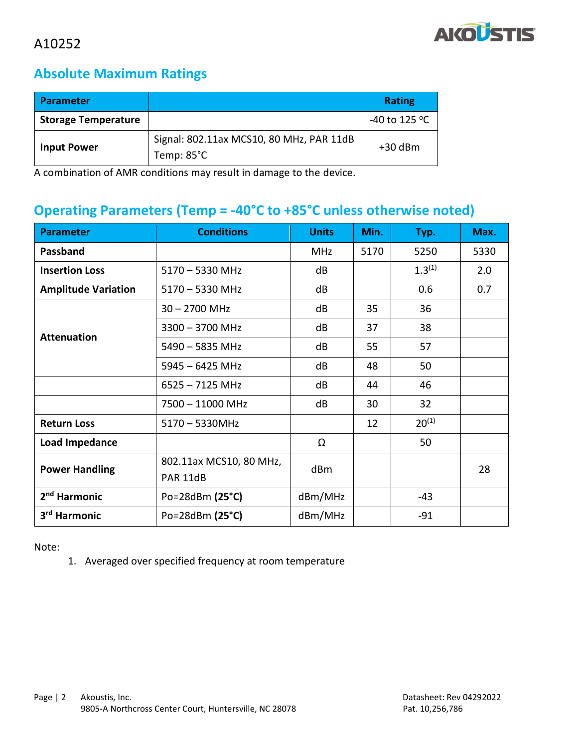

### **Absolute Maximum Ratings**

| <b>Parameter</b>           |                                                                  | <b>Rating</b>           |
|----------------------------|------------------------------------------------------------------|-------------------------|
| <b>Storage Temperature</b> |                                                                  | -40 to 125 $^{\circ}$ C |
| <b>Input Power</b>         | Signal: 802.11ax MCS10, 80 MHz, PAR 11dB<br>Temp: $85^{\circ}$ C | $+30$ dBm               |

A combination of AMR conditions may result in damage to the device.

## **Operating Parameters (Temp = -40°C to +85°C unless otherwise noted)**

| <b>Parameter</b>                            | <b>Conditions</b>                   | <b>Units</b> | Min. | Typ.        | Max. |
|---------------------------------------------|-------------------------------------|--------------|------|-------------|------|
| Passband                                    |                                     | <b>MHz</b>   | 5170 | 5250        | 5330 |
| <b>Insertion Loss</b>                       | $5170 - 5330$ MHz                   | dB           |      | $1.3^{(1)}$ | 2.0  |
| <b>Amplitude Variation</b>                  | $5170 - 5330$ MHz                   | dB           |      | 0.6         | 0.7  |
|                                             | $30 - 2700$ MHz                     | dB           | 35   | 36          |      |
| <b>Attenuation</b>                          | $3300 - 3700$ MHz                   | dB           | 37   | 38          |      |
|                                             | 5490 - 5835 MHz                     | dB           | 55   | 57          |      |
|                                             | $5945 - 6425$ MHz                   | dB           | 48   | 50          |      |
|                                             | $6525 - 7125$ MHz                   | dB           | 44   | 46          |      |
|                                             | 7500 - 11000 MHz                    | dB           | 30   | 32          |      |
| <b>Return Loss</b>                          | $5170 - 5330$ MHz                   |              | 12   | $20^{(1)}$  |      |
| <b>Load Impedance</b>                       |                                     | Ω            |      | 50          |      |
| <b>Power Handling</b>                       | 802.11ax MCS10, 80 MHz,<br>PAR 11dB | dBm          |      |             | 28   |
| 2 <sup>nd</sup> Harmonic                    | Po=28dBm $(25^{\circ}C)$            | dBm/MHz      |      | $-43$       |      |
| 3 <sup>rd</sup> Harmonic<br>Po=28dBm (25°C) |                                     | dBm/MHz      |      | $-91$       |      |

Note:

1. Averaged over specified frequency at room temperature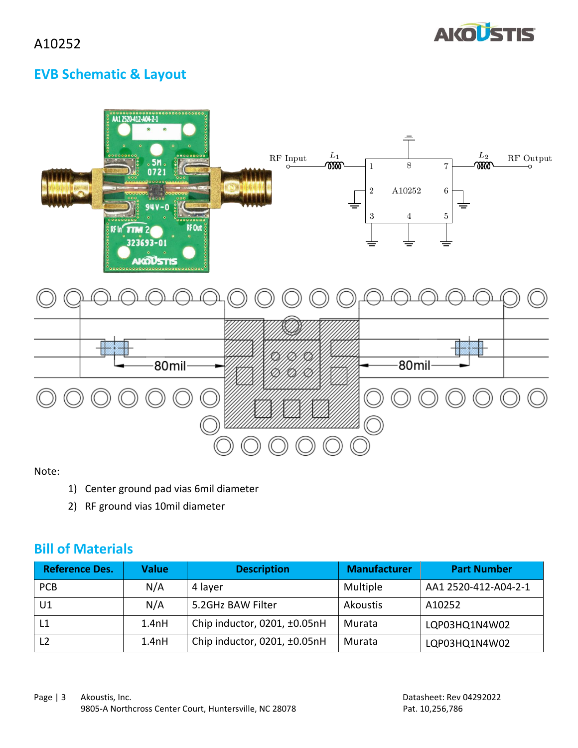

## **EVB Schematic & Layout**

| $\sim$ AA12520-412-A04-2-1<br>ő<br>$\bullet$<br>$\bullet$<br>$\circ$<br>$\bullet$<br>0000000000<br>$\begin{array}{c}\n\bullet\bullet\circ\circ\circ\circ\circ\circ\circ\\ \bullet\qquad\qquad\bullet\qquad\qquad\bullet\qquad\qquad\bullet\qquad\qquad\bullet\qquad\qquad\bullet\qquad\qquad\bullet\qquad\bullet\qquad\qquad\bullet\qquad\qquad\bullet\qquad\qquad\bullet\qquad\qquad\bullet\qquad\bullet\qquad\bullet\qquad\bullet\qquad\bullet\qquad\bullet\qquad\bullet\qquad\bullet\qquad\bullet\qquad\bullet\qquad\bullet\qquad\bullet\qquad\bullet\qquad\bullet\qquad\bullet\qquad\bullet\qquad\bullet\qquad\bullet\qquad\bullet\qquad\bullet\qquad\bullet\qquad\bullet$<br>.5M.<br>0721<br>000<br>000<br>.<br>$94V - 0$<br>$\bullet$<br>$0 0 0 0 0 0 0 0 0 0$<br>$0000000000$<br><b>RF Out 3</b><br>RF In <sup>'</sup> TTM 2<br>323693-01<br>š<br><b>AICOUSTIS</b><br>$^\circ$ | $L_1$<br>$\mathbf{RF}$ Input<br>ത്ത<br>$\circ$<br>吉 | $\equiv$<br>${\cal L}_2$<br>ത്ത<br>8<br>7<br>1<br>$\rm A10252$<br>$\boldsymbol{2}$<br>6<br>吉<br>3<br>5<br>4 | RF Output<br>-0 |
|---------------------------------------------------------------------------------------------------------------------------------------------------------------------------------------------------------------------------------------------------------------------------------------------------------------------------------------------------------------------------------------------------------------------------------------------------------------------------------------------------------------------------------------------------------------------------------------------------------------------------------------------------------------------------------------------------------------------------------------------------------------------------------------------------------------------------------------------------------------------------------------|-----------------------------------------------------|-------------------------------------------------------------------------------------------------------------|-----------------|
|                                                                                                                                                                                                                                                                                                                                                                                                                                                                                                                                                                                                                                                                                                                                                                                                                                                                                       |                                                     |                                                                                                             |                 |
| 80mil                                                                                                                                                                                                                                                                                                                                                                                                                                                                                                                                                                                                                                                                                                                                                                                                                                                                                 |                                                     | 80mil                                                                                                       |                 |
|                                                                                                                                                                                                                                                                                                                                                                                                                                                                                                                                                                                                                                                                                                                                                                                                                                                                                       |                                                     |                                                                                                             |                 |

Note:

- 1) Center ground pad vias 6mil diameter
- 2) RF ground vias 10mil diameter

### **Bill of Materials**

| <b>Reference Des.</b> | <b>Value</b> | <b>Description</b>                | <b>Manufacturer</b> | <b>Part Number</b>   |
|-----------------------|--------------|-----------------------------------|---------------------|----------------------|
| <b>PCB</b>            | N/A          | 4 layer                           | Multiple            | AA1 2520-412-A04-2-1 |
| U1                    | N/A          | 5.2GHz BAW Filter                 | Akoustis            | A10252               |
|                       | 1.4nH        | Chip inductor, 0201, ±0.05nH      | Murata              | LQP03HQ1N4W02        |
| L <sub>2</sub>        | 1.4nH        | Chip inductor, 0201, $\pm$ 0.05nH | Murata              | LQP03HQ1N4W02        |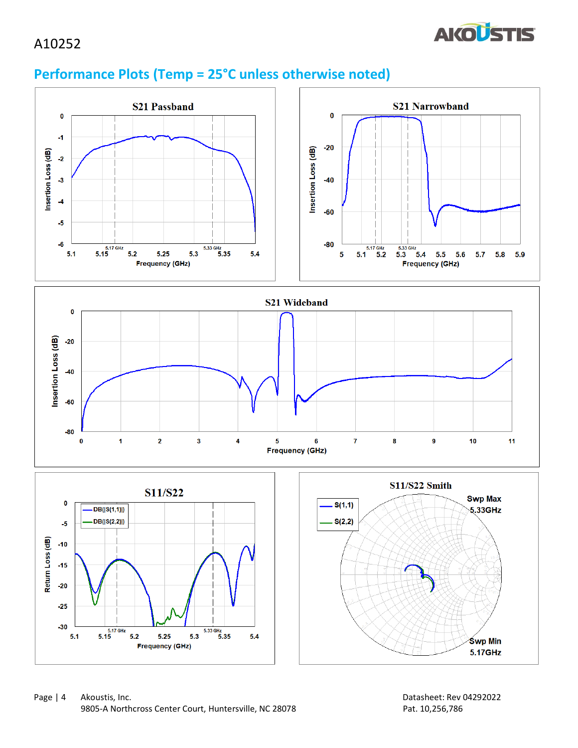### A10252



## **Performance Plots (Temp = 25°C unless otherwise noted)**

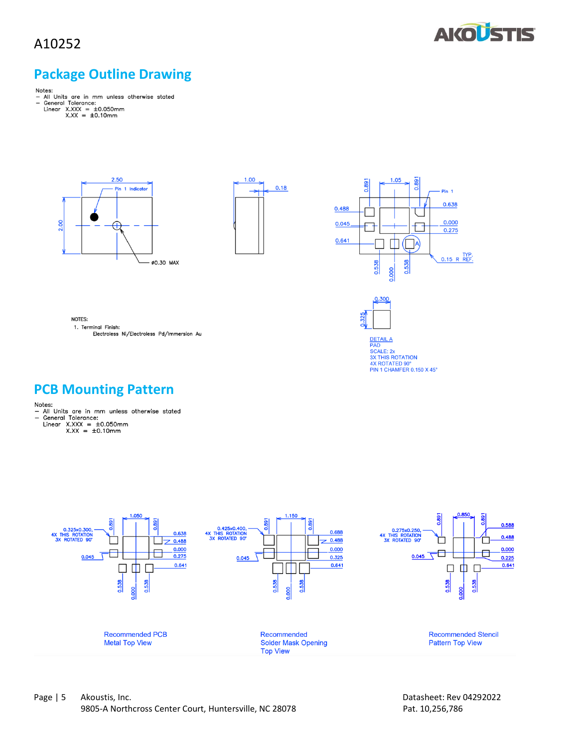### A10252



### **Package Outline Drawing**

- 
- 
- Notes:<br>- All Units are in mm unless otherwise stated<br>- General Tolerance:<br>Linear X.XXX = ±0.050mm<br>X.XX = ±0.10mm
	- -







DETAIL A<br>PAD<br>SCALE: 2x<br>3X THIS ROTATION<br>4X ROTATED 90°<br>PIN 1 CHAMFER 0.150 X 45°

NOTES: 1. Terminal Finish: Electroless Ni/Electroless Pd/Immersion Au

- **PCB Mounting Pattern**<br>
Notes:<br>
 All Units are in mm unless otherwise stated<br>
 General Tolerance:<br>
Linear X.XXX = ±0.050mm<br>
X.XX = ±0.10mm
	-

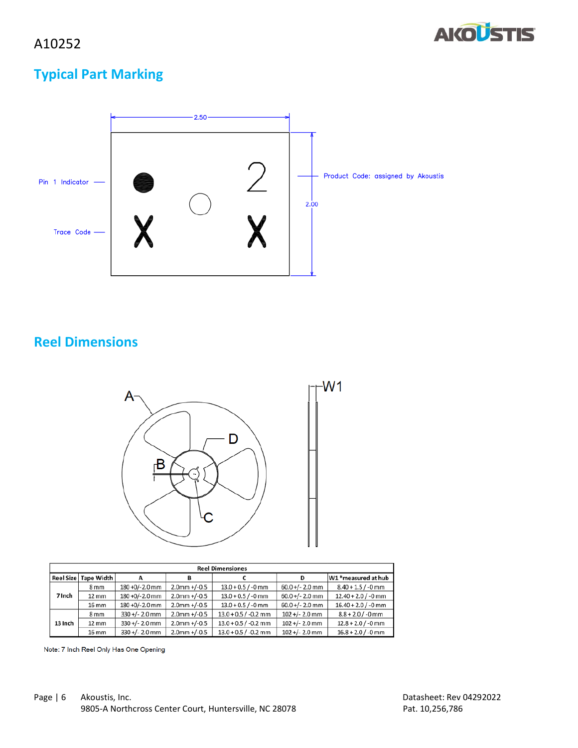

## **Typical Part Marking**



 $W1$ 

### **Reel Dimensions**



| <b>Reel Dimensiones</b> |                        |                   |                 |                        |                   |                       |
|-------------------------|------------------------|-------------------|-----------------|------------------------|-------------------|-----------------------|
|                         | Reel Size   Tape Width | А                 | в               |                        | D                 | W1 *measured at hub   |
|                         | 8 <sub>mm</sub>        | $180 + 0/-2.0$ mm | $2.0$ mm +/-0.5 | $13.0 + 0.5 / -0$ mm   | $60.0 +/- 2.0$ mm | $8.40 + 1.5 / -0$ mm  |
| 7 Inch                  | $12 \,\mathrm{mm}$     | 180 +0/-2.0 mm    | $2.0$ mm +/-0.5 | $13.0 + 0.5 / -0$ mm   | $60.0 +/- 2.0$ mm | $12.40 + 2.0 / -0$ mm |
|                         | $16 \, \mathrm{mm}$    | 180 +0/-2.0 mm    | $2.0$ mm +/-0.5 | $13.0 + 0.5 / -0$ mm   | $60.0 +/- 2.0$ mm | $16.40 + 2.0 / -0$ mm |
|                         | 8 <sub>mm</sub>        | $330 +/- 2.0$ mm  | $2.0$ mm +/-0.5 | $13.0 + 0.5 / -0.2$ mm | $102 +/- 2.0$ mm  | $8.8 + 2.0 / -0$ mm   |
| 13 Inch                 | 12 mm                  | $330+/- 2.0$ mm   | $2.0$ mm +/-0.5 | $13.0 + 0.5 / -0.2$ mm | $102 +/- 2.0$ mm  | $12.8 + 2.0 / -0$ mm  |
|                         | 16 mm                  | $330 +/- 2.0$ mm  | $2.0$ mm +/-0.5 | $13.0 + 0.5 / -0.2$ mm | $102 +/- 2.0$ mm  | $16.8 + 2.0 / -0$ mm  |

Note: 7 Inch Reel Only Has One Opening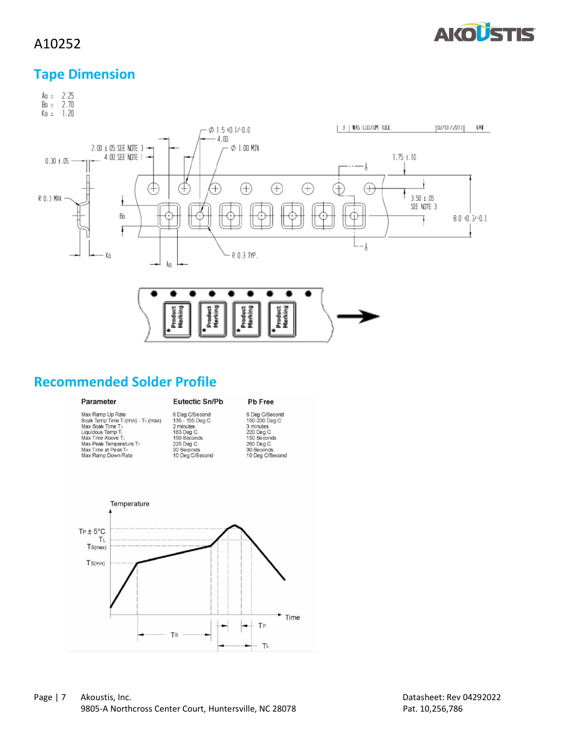

### A10252

## **Tape Dimension**



### **Recommended Solder Profile**

### Parameter

### Eutectic Sn/Pb

### Pb Free

| Max Ramp Up Rate                  | 6 Deg C/S   |
|-----------------------------------|-------------|
| Soak Temp Time Ts(min) - Ts (max) | $135 - 155$ |
| Max Soak Time Ts                  | 2 minutes   |
| Liquidous Temp TL                 | 183 Deg C   |
| Max Time Above TL                 | 150 Secon   |
| Max Peak Temperature TP           | 225 Deg C   |
| Max Time at Peak TP               | 30 Second   |
| Max Ramp Down Rate                | 10 Deg C/3  |

iecond<br>Deg C -<br>nds ds<br>(Second 6 Deg C/Second<br>150-200 Deg C<br>3 minutes<br>220 Deg C<br>150 Seconds<br>260 Deg C<br>30 Seconds<br>10 Deg C/Second